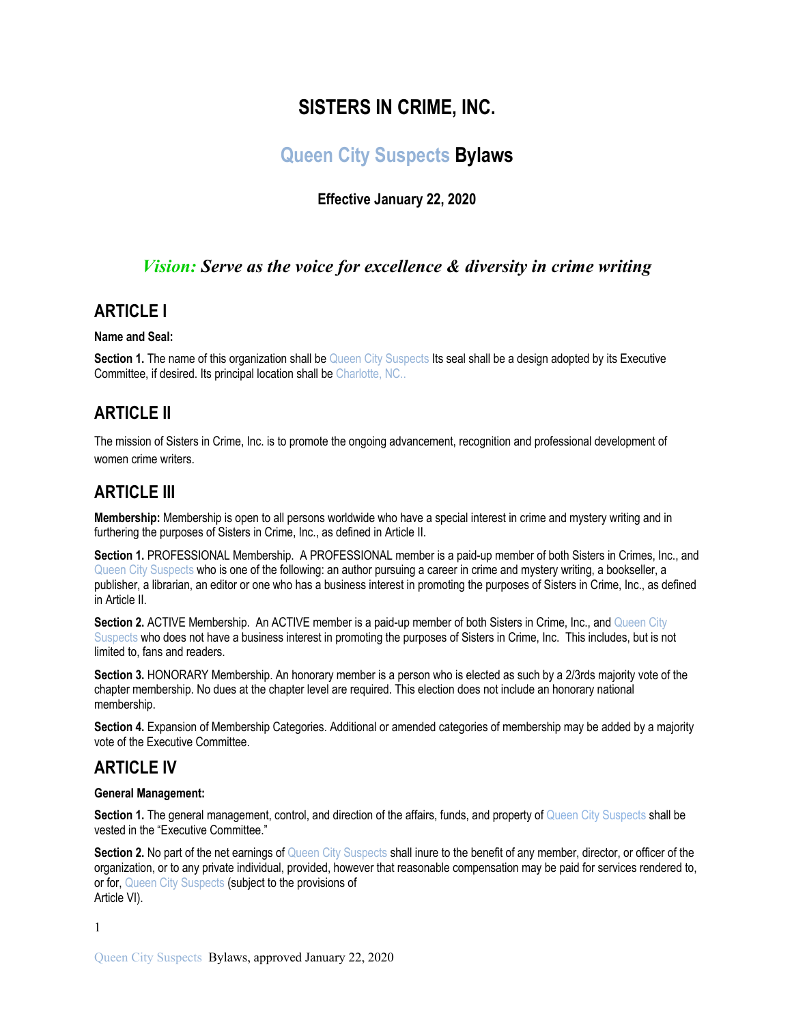# **SISTERS IN CRIME, INC.**

# **Queen City Suspects Bylaws**

### **Effective January 22, 2020**

### *Vision: Serve as the voice for excellence & diversity in crime writing*

### **ARTICLE I**

#### **Name and Seal:**

**Section 1.** The name of this organization shall be Queen City Suspects Its seal shall be a design adopted by its Executive Committee, if desired. Its principal location shall be Charlotte, NC..

### **ARTICLE II**

The mission of Sisters in Crime, Inc. is to promote the ongoing advancement, recognition and professional development of women crime writers.

# **ARTICLE III**

**Membership:** Membership is open to all persons worldwide who have a special interest in crime and mystery writing and in furthering the purposes of Sisters in Crime, Inc., as defined in Article II.

**Section 1. PROFESSIONAL Membership. A PROFESSIONAL member is a paid-up member of both Sisters in Crimes, Inc., and** Queen City Suspects who is one of the following: an author pursuing a career in crime and mystery writing, a bookseller, a publisher, a librarian, an editor or one who has a business interest in promoting the purposes of Sisters in Crime, Inc., as defined in Article II.

**Section 2. ACTIVE Membership. An ACTIVE member is a paid-up member of both Sisters in Crime, Inc., and Queen City** Suspects who does not have a business interest in promoting the purposes of Sisters in Crime, Inc. This includes, but is not limited to, fans and readers.

**Section 3.** HONORARY Membership. An honorary member is a person who is elected as such by a 2/3rds majority vote of the chapter membership. No dues at the chapter level are required. This election does not include an honorary national membership.

**Section 4.** Expansion of Membership Categories. Additional or amended categories of membership may be added by a majority vote of the Executive Committee.

### **ARTICLE IV**

#### **General Management:**

**Section 1.** The general management, control, and direction of the affairs, funds, and property of Queen City Suspects shall be vested in the "Executive Committee."

**Section 2.** No part of the net earnings of Queen City Suspects shall inure to the benefit of any member, director, or officer of the organization, or to any private individual, provided, however that reasonable compensation may be paid for services rendered to, or for, Queen City Suspects (subject to the provisions of Article VI).

1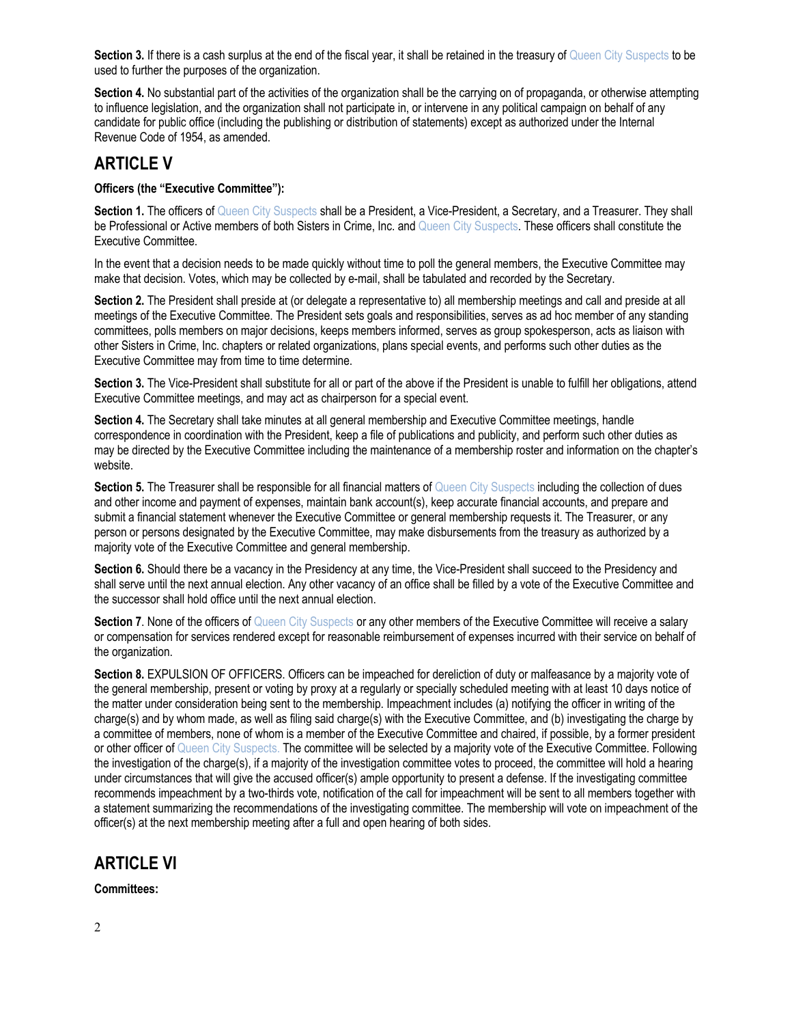Section 3. If there is a cash surplus at the end of the fiscal year, it shall be retained in the treasury of Queen City Suspects to be used to further the purposes of the organization.

Section 4. No substantial part of the activities of the organization shall be the carrying on of propaganda, or otherwise attempting to influence legislation, and the organization shall not participate in, or intervene in any political campaign on behalf of any candidate for public office (including the publishing or distribution of statements) except as authorized under the Internal Revenue Code of 1954, as amended.

## **ARTICLE V**

#### **Officers (the "Executive Committee"):**

Section 1. The officers of Queen City Suspects shall be a President, a Vice-President, a Secretary, and a Treasurer. They shall be Professional or Active members of both Sisters in Crime, Inc. and Queen City Suspects. These officers shall constitute the Executive Committee.

In the event that a decision needs to be made quickly without time to poll the general members, the Executive Committee may make that decision. Votes, which may be collected by e-mail, shall be tabulated and recorded by the Secretary.

**Section 2.** The President shall preside at (or delegate a representative to) all membership meetings and call and preside at all meetings of the Executive Committee. The President sets goals and responsibilities, serves as ad hoc member of any standing committees, polls members on major decisions, keeps members informed, serves as group spokesperson, acts as liaison with other Sisters in Crime, Inc. chapters or related organizations, plans special events, and performs such other duties as the Executive Committee may from time to time determine.

**Section 3.** The Vice-President shall substitute for all or part of the above if the President is unable to fulfill her obligations, attend Executive Committee meetings, and may act as chairperson for a special event.

**Section 4.** The Secretary shall take minutes at all general membership and Executive Committee meetings, handle correspondence in coordination with the President, keep a file of publications and publicity, and perform such other duties as may be directed by the Executive Committee including the maintenance of a membership roster and information on the chapter's website.

**Section 5.** The Treasurer shall be responsible for all financial matters of Queen City Suspects including the collection of dues and other income and payment of expenses, maintain bank account(s), keep accurate financial accounts, and prepare and submit a financial statement whenever the Executive Committee or general membership requests it. The Treasurer, or any person or persons designated by the Executive Committee, may make disbursements from the treasury as authorized by a majority vote of the Executive Committee and general membership.

**Section 6.** Should there be a vacancy in the Presidency at any time, the Vice-President shall succeed to the Presidency and shall serve until the next annual election. Any other vacancy of an office shall be filled by a vote of the Executive Committee and the successor shall hold office until the next annual election.

**Section 7.** None of the officers of Queen City Suspects or any other members of the Executive Committee will receive a salary or compensation for services rendered except for reasonable reimbursement of expenses incurred with their service on behalf of the organization.

**Section 8.** EXPULSION OF OFFICERS. Officers can be impeached for dereliction of duty or malfeasance by a majority vote of the general membership, present or voting by proxy at a regularly or specially scheduled meeting with at least 10 days notice of the matter under consideration being sent to the membership. Impeachment includes (a) notifying the officer in writing of the charge(s) and by whom made, as well as filing said charge(s) with the Executive Committee, and (b) investigating the charge by a committee of members, none of whom is a member of the Executive Committee and chaired, if possible, by a former president or other officer of Queen City Suspects. The committee will be selected by a majority vote of the Executive Committee. Following the investigation of the charge(s), if a majority of the investigation committee votes to proceed, the committee will hold a hearing under circumstances that will give the accused officer(s) ample opportunity to present a defense. If the investigating committee recommends impeachment by a two-thirds vote, notification of the call for impeachment will be sent to all members together with a statement summarizing the recommendations of the investigating committee. The membership will vote on impeachment of the officer(s) at the next membership meeting after a full and open hearing of both sides.

# **ARTICLE VI**

**Committees:**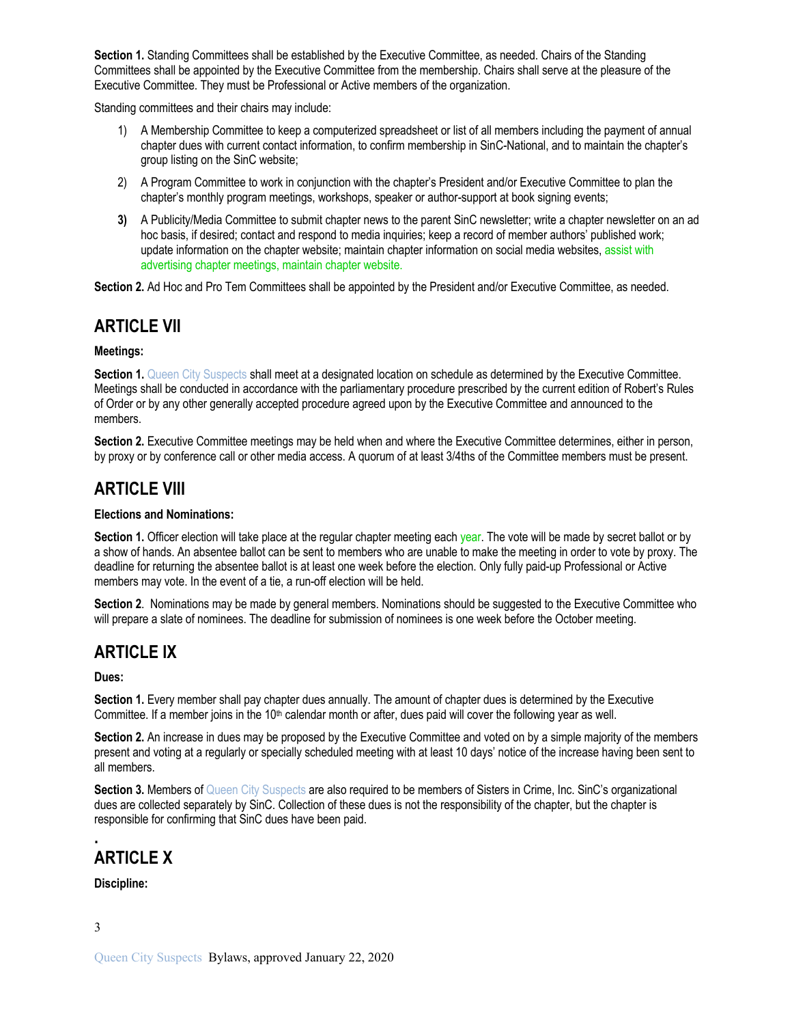**Section 1.** Standing Committees shall be established by the Executive Committee, as needed. Chairs of the Standing Committees shall be appointed by the Executive Committee from the membership. Chairs shall serve at the pleasure of the Executive Committee. They must be Professional or Active members of the organization.

Standing committees and their chairs may include:

- 1) A Membership Committee to keep a computerized spreadsheet or list of all members including the payment of annual chapter dues with current contact information, to confirm membership in SinC-National, and to maintain the chapter's group listing on the SinC website;
- 2) A Program Committee to work in conjunction with the chapter's President and/or Executive Committee to plan the chapter's monthly program meetings, workshops, speaker or author-support at book signing events;
- **3)** A Publicity/Media Committee to submit chapter news to the parent SinC newsletter; write a chapter newsletter on an ad hoc basis, if desired; contact and respond to media inquiries; keep a record of member authors' published work; update information on the chapter website; maintain chapter information on social media websites, assist with advertising chapter meetings, maintain chapter website.

**Section 2.** Ad Hoc and Pro Tem Committees shall be appointed by the President and/or Executive Committee, as needed.

### **ARTICLE VII**

#### **Meetings:**

**Section 1.** Queen City Suspects shall meet at a designated location on schedule as determined by the Executive Committee. Meetings shall be conducted in accordance with the parliamentary procedure prescribed by the current edition of Robert's Rules of Order or by any other generally accepted procedure agreed upon by the Executive Committee and announced to the members.

**Section 2.** Executive Committee meetings may be held when and where the Executive Committee determines, either in person, by proxy or by conference call or other media access. A quorum of at least 3/4ths of the Committee members must be present.

### **ARTICLE VIII**

#### **Elections and Nominations:**

Section 1. Officer election will take place at the regular chapter meeting each year. The vote will be made by secret ballot or by a show of hands. An absentee ballot can be sent to members who are unable to make the meeting in order to vote by proxy. The deadline for returning the absentee ballot is at least one week before the election. Only fully paid-up Professional or Active members may vote. In the event of a tie, a run-off election will be held.

**Section 2**. Nominations may be made by general members. Nominations should be suggested to the Executive Committee who will prepare a slate of nominees. The deadline for submission of nominees is one week before the October meeting.

### **ARTICLE IX**

**Dues:** 

**Section 1.** Every member shall pay chapter dues annually. The amount of chapter dues is determined by the Executive Committee. If a member joins in the  $10<sup>th</sup>$  calendar month or after, dues paid will cover the following year as well.

**Section 2.** An increase in dues may be proposed by the Executive Committee and voted on by a simple majority of the members present and voting at a regularly or specially scheduled meeting with at least 10 days' notice of the increase having been sent to all members.

**Section 3.** Members of Queen City Suspects are also required to be members of Sisters in Crime, Inc. SinC's organizational dues are collected separately by SinC. Collection of these dues is not the responsibility of the chapter, but the chapter is responsible for confirming that SinC dues have been paid.

### **. ARTICLE X**

**Discipline:**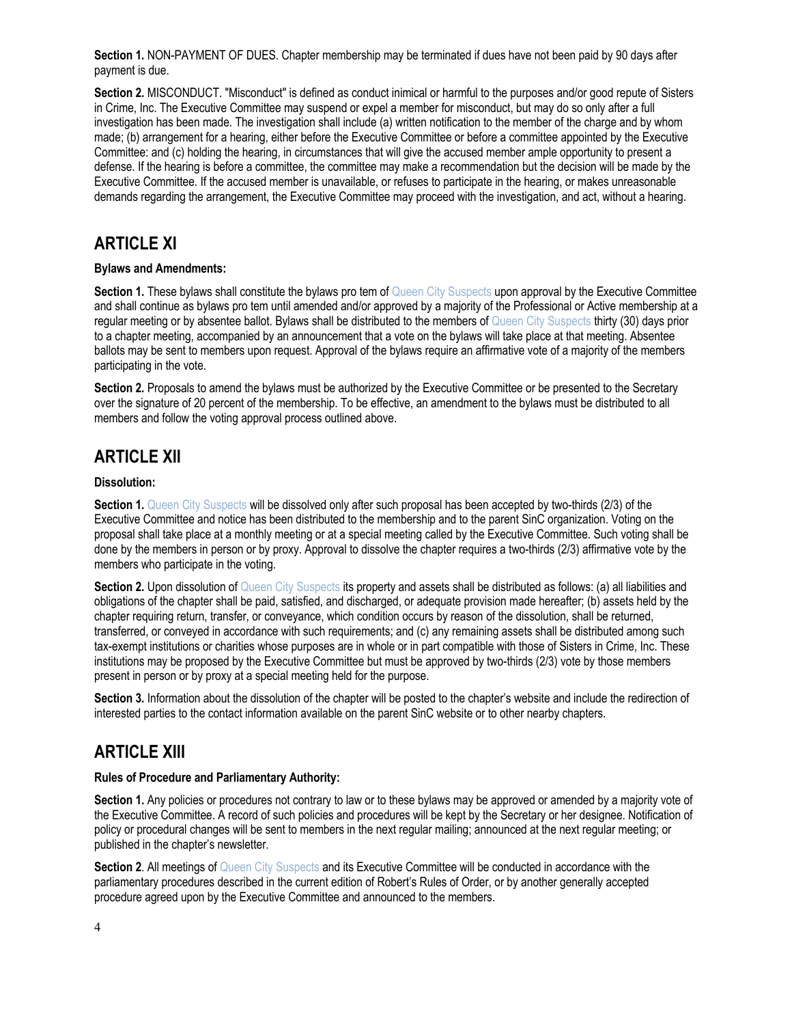**Section 1.** NON-PAYMENT OF DUES. Chapter membership may be terminated if dues have not been paid by 90 days after payment is due.

**Section 2.** MISCONDUCT. "Misconduct" is defined as conduct inimical or harmful to the purposes and/or good repute of Sisters in Crime, Inc. The Executive Committee may suspend or expel a member for misconduct, but may do so only after a full investigation has been made. The investigation shall include (a) written notification to the member of the charge and by whom made; (b) arrangement for a hearing, either before the Executive Committee or before a committee appointed by the Executive Committee: and (c) holding the hearing, in circumstances that will give the accused member ample opportunity to present a defense. If the hearing is before a committee, the committee may make a recommendation but the decision will be made by the Executive Committee. If the accused member is unavailable, or refuses to participate in the hearing, or makes unreasonable demands regarding the arrangement, the Executive Committee may proceed with the investigation, and act, without a hearing.

## **ARTICLE XI**

#### **Bylaws and Amendments:**

**Section 1.** These bylaws shall constitute the bylaws pro tem of Queen City Suspects upon approval by the Executive Committee and shall continue as bylaws pro tem until amended and/or approved by a majority of the Professional or Active membership at a regular meeting or by absentee ballot. Bylaws shall be distributed to the members of Queen City Suspects thirty (30) days prior to a chapter meeting, accompanied by an announcement that a vote on the bylaws will take place at that meeting. Absentee ballots may be sent to members upon request. Approval of the bylaws require an affirmative vote of a majority of the members participating in the vote.

**Section 2.** Proposals to amend the bylaws must be authorized by the Executive Committee or be presented to the Secretary over the signature of 20 percent of the membership. To be effective, an amendment to the bylaws must be distributed to all members and follow the voting approval process outlined above.

# **ARTICLE XII**

#### **Dissolution:**

**Section 1.** Queen City Suspects will be dissolved only after such proposal has been accepted by two-thirds (2/3) of the Executive Committee and notice has been distributed to the membership and to the parent SinC organization. Voting on the proposal shall take place at a monthly meeting or at a special meeting called by the Executive Committee. Such voting shall be done by the members in person or by proxy. Approval to dissolve the chapter requires a two-thirds (2/3) affirmative vote by the members who participate in the voting.

Section 2. Upon dissolution of Queen City Suspects its property and assets shall be distributed as follows: (a) all liabilities and obligations of the chapter shall be paid, satisfied, and discharged, or adequate provision made hereafter; (b) assets held by the chapter requiring return, transfer, or conveyance, which condition occurs by reason of the dissolution, shall be returned, transferred, or conveyed in accordance with such requirements; and (c) any remaining assets shall be distributed among such tax-exempt institutions or charities whose purposes are in whole or in part compatible with those of Sisters in Crime, Inc. These institutions may be proposed by the Executive Committee but must be approved by two-thirds (2/3) vote by those members present in person or by proxy at a special meeting held for the purpose.

**Section 3.** Information about the dissolution of the chapter will be posted to the chapter's website and include the redirection of interested parties to the contact information available on the parent SinC website or to other nearby chapters.

### **ARTICLE XIII**

#### **Rules of Procedure and Parliamentary Authority:**

**Section 1.** Any policies or procedures not contrary to law or to these bylaws may be approved or amended by a majority vote of the Executive Committee. A record of such policies and procedures will be kept by the Secretary or her designee. Notification of policy or procedural changes will be sent to members in the next regular mailing; announced at the next regular meeting; or published in the chapter's newsletter.

**Section 2.** All meetings of Queen City Suspects and its Executive Committee will be conducted in accordance with the parliamentary procedures described in the current edition of Robert's Rules of Order, or by another generally accepted procedure agreed upon by the Executive Committee and announced to the members.